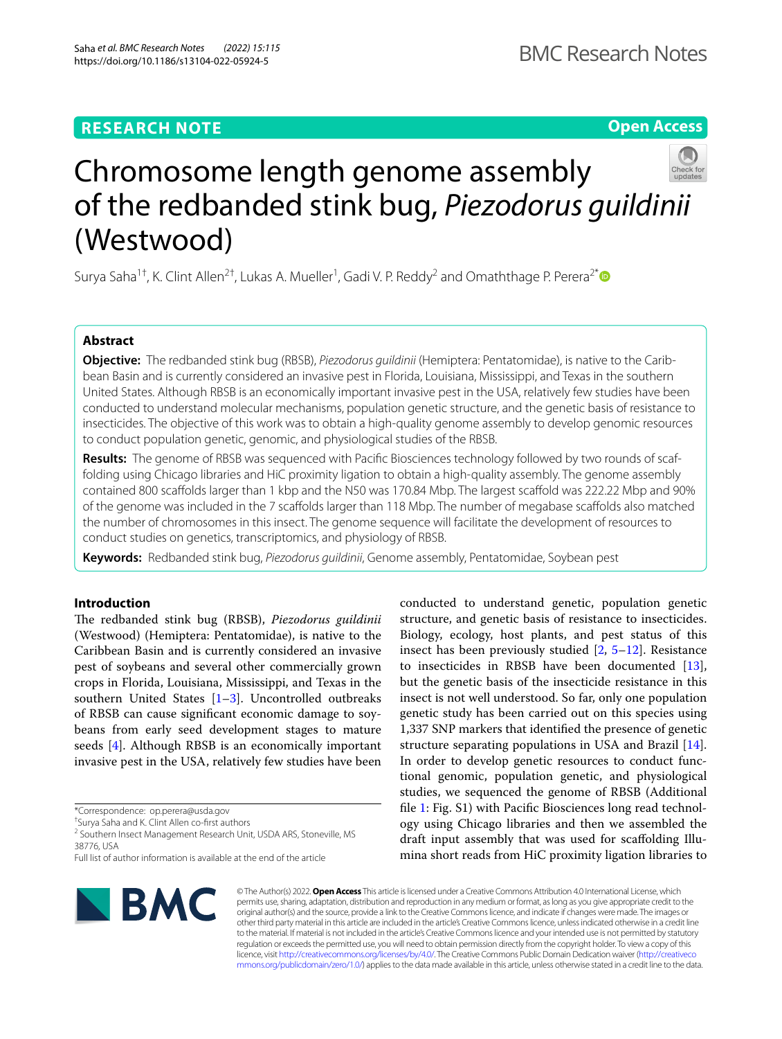# **RESEARCH NOTE**

# **Open Access**



# Chromosome length genome assembly of the redbanded stink bug, *Piezodorus guildinii* (Westwood)

Surya Saha<sup>1†</sup>, K. Clint Allen<sup>2†</sup>, Lukas A. Mueller<sup>1</sup>, Gadi V. P. Reddy<sup>2</sup> and Omaththage P. Perera<sup>2[\\*](http://orcid.org/0000-0002-0643-0066)</sup>

# **Abstract**

**Objective:** The redbanded stink bug (RBSB), *Piezodorus guildinii* (Hemiptera: Pentatomidae), is native to the Caribbean Basin and is currently considered an invasive pest in Florida, Louisiana, Mississippi, and Texas in the southern United States. Although RBSB is an economically important invasive pest in the USA, relatively few studies have been conducted to understand molecular mechanisms, population genetic structure, and the genetic basis of resistance to insecticides. The objective of this work was to obtain a high-quality genome assembly to develop genomic resources to conduct population genetic, genomic, and physiological studies of the RBSB.

**Results:** The genome of RBSB was sequenced with Pacifc Biosciences technology followed by two rounds of scaffolding using Chicago libraries and HiC proximity ligation to obtain a high-quality assembly. The genome assembly contained 800 scafolds larger than 1 kbp and the N50 was 170.84 Mbp. The largest scafold was 222.22 Mbp and 90% of the genome was included in the 7 scafolds larger than 118 Mbp. The number of megabase scafolds also matched the number of chromosomes in this insect. The genome sequence will facilitate the development of resources to conduct studies on genetics, transcriptomics, and physiology of RBSB.

**Keywords:** Redbanded stink bug, *Piezodorus guildinii*, Genome assembly, Pentatomidae, Soybean pest

# **Introduction**

The redbanded stink bug (RBSB), *Piezodorus guildinii* (Westwood) (Hemiptera: Pentatomidae), is native to the Caribbean Basin and is currently considered an invasive pest of soybeans and several other commercially grown crops in Florida, Louisiana, Mississippi, and Texas in the southern United States  $[1-3]$  $[1-3]$ . Uncontrolled outbreaks of RBSB can cause signifcant economic damage to soybeans from early seed development stages to mature seeds [\[4](#page-3-2)]. Although RBSB is an economically important invasive pest in the USA, relatively few studies have been

\*Correspondence: op.perera@usda.gov

† Surya Saha and K. Clint Allen co-frst authors

<sup>2</sup> Southern Insect Management Research Unit, USDA ARS, Stoneville, MS 38776, USA

conducted to understand genetic, population genetic structure, and genetic basis of resistance to insecticides. Biology, ecology, host plants, and pest status of this insect has been previously studied [\[2](#page-3-3), [5–](#page-3-4)[12\]](#page-4-0). Resistance to insecticides in RBSB have been documented [\[13](#page-4-1)], but the genetic basis of the insecticide resistance in this insect is not well understood. So far, only one population genetic study has been carried out on this species using 1,337 SNP markers that identifed the presence of genetic structure separating populations in USA and Brazil [\[14](#page-4-2)]. In order to develop genetic resources to conduct functional genomic, population genetic, and physiological studies, we sequenced the genome of RBSB (Additional fle [1:](#page-3-5) Fig. S1) with Pacifc Biosciences long read technology using Chicago libraries and then we assembled the draft input assembly that was used for scafolding Illumina short reads from HiC proximity ligation libraries to



© The Author(s) 2022. **Open Access** This article is licensed under a Creative Commons Attribution 4.0 International License, which permits use, sharing, adaptation, distribution and reproduction in any medium or format, as long as you give appropriate credit to the original author(s) and the source, provide a link to the Creative Commons licence, and indicate if changes were made. The images or other third party material in this article are included in the article's Creative Commons licence, unless indicated otherwise in a credit line to the material. If material is not included in the article's Creative Commons licence and your intended use is not permitted by statutory regulation or exceeds the permitted use, you will need to obtain permission directly from the copyright holder. To view a copy of this licence, visit [http://creativecommons.org/licenses/by/4.0/.](http://creativecommons.org/licenses/by/4.0/) The Creative Commons Public Domain Dedication waiver ([http://creativeco](http://creativecommons.org/publicdomain/zero/1.0/) [mmons.org/publicdomain/zero/1.0/](http://creativecommons.org/publicdomain/zero/1.0/)) applies to the data made available in this article, unless otherwise stated in a credit line to the data.

Full list of author information is available at the end of the article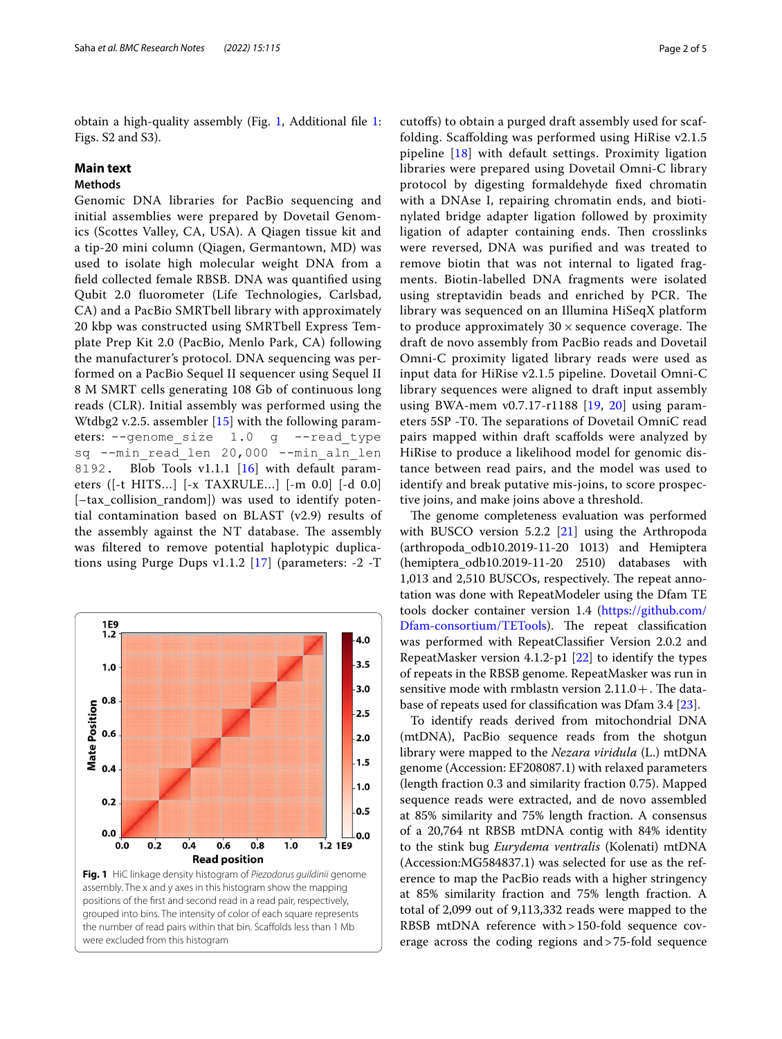obtain a high-quality assembly (Fig. [1,](#page-1-0) Additional fle [1](#page-3-5): Figs. S2 and S3).

## **Main text**

# **Methods**

Genomic DNA libraries for PacBio sequencing and initial assemblies were prepared by Dovetail Genomics (Scottes Valley, CA, USA). A Qiagen tissue kit and a tip-20 mini column (Qiagen, Germantown, MD) was used to isolate high molecular weight DNA from a feld collected female RBSB. DNA was quantifed using Qubit 2.0 fuorometer (Life Technologies, Carlsbad, CA) and a PacBio SMRTbell library with approximately 20 kbp was constructed using SMRTbell Express Template Prep Kit 2.0 (PacBio, Menlo Park, CA) following the manufacturer's protocol. DNA sequencing was performed on a PacBio Sequel II sequencer using Sequel II 8 M SMRT cells generating 108 Gb of continuous long reads (CLR). Initial assembly was performed using the Wtdbg2 v.2.5. assembler [[15\]](#page-4-3) with the following parameters: --genome size 1.0 g --read type sq --min read len 20,000 --min aln len 8192. Blob Tools v1.1.1 [[16](#page-4-4)] with default parameters ([-t HITS…] [-x TAXRULE…] [-m 0.0] [-d 0.0] [–tax\_collision\_random]) was used to identify potential contamination based on BLAST (v2.9) results of the assembly against the NT database. The assembly was fltered to remove potential haplotypic duplications using Purge Dups v1.1.2 [[17\]](#page-4-5) (parameters: -2 -T

<span id="page-1-0"></span>

cutofs) to obtain a purged draft assembly used for scaffolding. Scafolding was performed using HiRise v2.1.5 pipeline [\[18](#page-4-6)] with default settings. Proximity ligation libraries were prepared using Dovetail Omni-C library protocol by digesting formaldehyde fxed chromatin with a DNAse I, repairing chromatin ends, and biotinylated bridge adapter ligation followed by proximity ligation of adapter containing ends. Then crosslinks were reversed, DNA was purifed and was treated to remove biotin that was not internal to ligated fragments. Biotin-labelled DNA fragments were isolated using streptavidin beads and enriched by PCR. The library was sequenced on an Illumina HiSeqX platform to produce approximately  $30 \times$  sequence coverage. The draft de novo assembly from PacBio reads and Dovetail Omni-C proximity ligated library reads were used as input data for HiRise v2.1.5 pipeline. Dovetail Omni-C library sequences were aligned to draft input assembly using BWA-mem v0.7.17-r1188 [[19,](#page-4-7) [20](#page-4-8)] using parameters 5SP -T0. The separations of Dovetail OmniC read pairs mapped within draft scafolds were analyzed by HiRise to produce a likelihood model for genomic distance between read pairs, and the model was used to identify and break putative mis-joins, to score prospective joins, and make joins above a threshold.

The genome completeness evaluation was performed with BUSCO version 5.2.2 [\[21](#page-4-9)] using the Arthropoda (arthropoda\_odb10.2019-11-20 1013) and Hemiptera (hemiptera\_odb10.2019-11-20 2510) databases with 1,013 and 2,510 BUSCOs, respectively. The repeat annotation was done with RepeatModeler using the Dfam TE tools docker container version 1.4 [\(https://github.com/](https://github.com/Dfam-consortium/TETools) [Dfam-consortium/TETools](https://github.com/Dfam-consortium/TETools)). The repeat classification was performed with RepeatClassifer Version 2.0.2 and RepeatMasker version 4.1.2-p1 [[22\]](#page-4-10) to identify the types of repeats in the RBSB genome. RepeatMasker was run in sensitive mode with rmblastn version  $2.11.0+$ . The database of repeats used for classifcation was Dfam 3.4 [\[23](#page-4-11)].

To identify reads derived from mitochondrial DNA (mtDNA), PacBio sequence reads from the shotgun library were mapped to the *Nezara viridula* (L.) mtDNA genome (Accession: EF208087.1) with relaxed parameters (length fraction 0.3 and similarity fraction 0.75). Mapped sequence reads were extracted, and de novo assembled at 85% similarity and 75% length fraction. A consensus of a 20,764 nt RBSB mtDNA contig with 84% identity to the stink bug *Eurydema ventralis* (Kolenati) mtDNA (Accession:MG584837.1) was selected for use as the reference to map the PacBio reads with a higher stringency at 85% similarity fraction and 75% length fraction. A total of 2,099 out of 9,113,332 reads were mapped to the RBSB mtDNA reference with > 150-fold sequence coverage across the coding regions and>75-fold sequence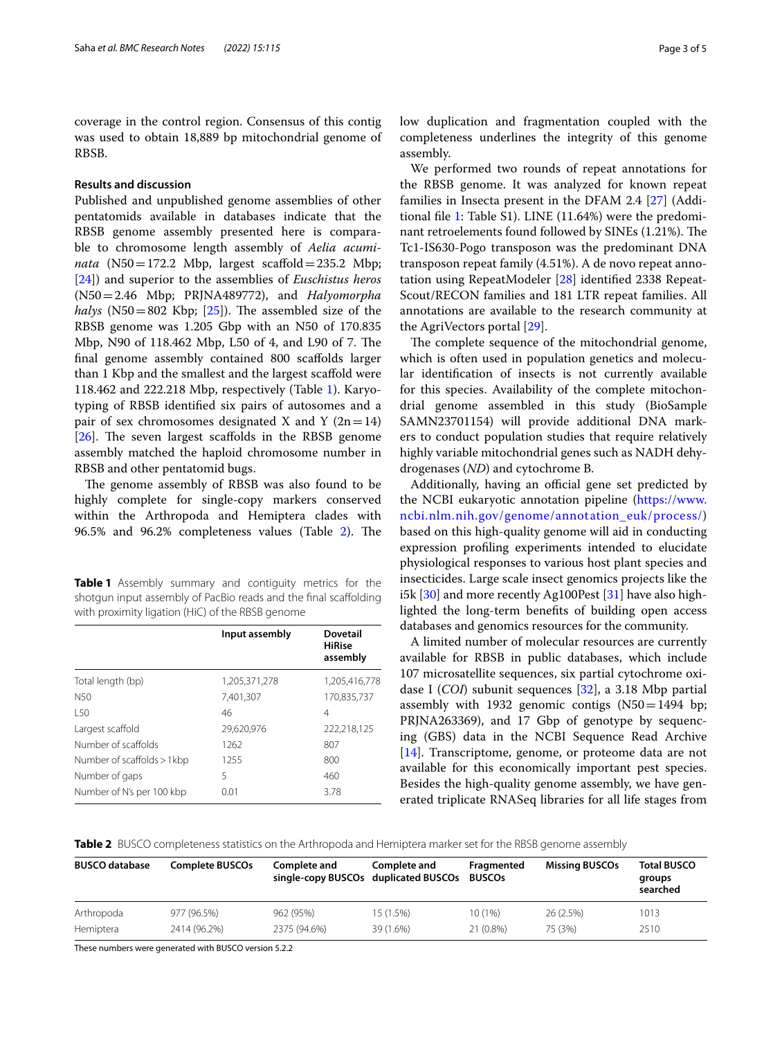coverage in the control region. Consensus of this contig was used to obtain 18,889 bp mitochondrial genome of RBSB.

## **Results and discussion**

Published and unpublished genome assemblies of other pentatomids available in databases indicate that the RBSB genome assembly presented here is comparable to chromosome length assembly of *Aelia acumi* $nata$  (N50=172.2 Mbp, largest scaffold=235.2 Mbp; [[24\]](#page-4-12)) and superior to the assemblies of *Euschistus heros* (N50=2.46 Mbp; PRJNA489772), and *Halyomorpha halys* (N50=802 Kbp;  $[25]$  $[25]$  $[25]$ ). The assembled size of the RBSB genome was 1.205 Gbp with an N50 of 170.835 Mbp, N90 of 118.462 Mbp, L50 of 4, and L90 of 7. The fnal genome assembly contained 800 scafolds larger than 1 Kbp and the smallest and the largest scafold were 118.462 and 222.218 Mbp, respectively (Table [1\)](#page-2-0). Karyotyping of RBSB identifed six pairs of autosomes and a pair of sex chromosomes designated X and Y  $(2n=14)$  $[26]$  $[26]$ . The seven largest scaffolds in the RBSB genome assembly matched the haploid chromosome number in RBSB and other pentatomid bugs.

The genome assembly of RBSB was also found to be highly complete for single-copy markers conserved within the Arthropoda and Hemiptera clades with 96.5% and 96.[2](#page-2-1)% completeness values (Table 2). The

<span id="page-2-0"></span>**Table 1** Assembly summary and contiguity metrics for the shotgun input assembly of PacBio reads and the fnal scafolding with proximity ligation (HiC) of the RBSB genome

|                            | Input assembly | <b>Dovetail</b><br><b>HiRise</b><br>assembly |  |
|----------------------------|----------------|----------------------------------------------|--|
| Total length (bp)          | 1,205,371,278  | 1,205,416,778                                |  |
| N <sub>50</sub>            | 7.401.307      | 170.835.737                                  |  |
| 150                        | 46             | 4                                            |  |
| Largest scaffold           | 29.620.976     | 222.218.125                                  |  |
| Number of scaffolds        | 1262           | 807                                          |  |
| Number of scaffolds > 1kbp | 1255           | 800                                          |  |
| Number of gaps             | 5              | 460                                          |  |
| Number of N's per 100 kbp  | 0.01           | 3.78                                         |  |

low duplication and fragmentation coupled with the completeness underlines the integrity of this genome assembly.

We performed two rounds of repeat annotations for the RBSB genome. It was analyzed for known repeat families in Insecta present in the DFAM 2.4 [\[27](#page-4-15)] (Additional fle [1](#page-3-5): Table S1). LINE (11.64%) were the predominant retroelements found followed by SINEs (1.21%). The Tc1-IS630-Pogo transposon was the predominant DNA transposon repeat family (4.51%). A de novo repeat annotation using RepeatModeler [\[28](#page-4-16)] identifed 2338 Repeat-Scout/RECON families and 181 LTR repeat families. All annotations are available to the research community at the AgriVectors portal [[29\]](#page-4-17).

The complete sequence of the mitochondrial genome, which is often used in population genetics and molecular identifcation of insects is not currently available for this species. Availability of the complete mitochondrial genome assembled in this study (BioSample SAMN23701154) will provide additional DNA markers to conduct population studies that require relatively highly variable mitochondrial genes such as NADH dehydrogenases (*ND*) and cytochrome B.

Additionally, having an official gene set predicted by the NCBI eukaryotic annotation pipeline [\(https://www.](https://www.ncbi.nlm.nih.gov/genome/annotation_euk/process/) [ncbi.nlm.nih.gov/genome/annotation\\_euk/process/](https://www.ncbi.nlm.nih.gov/genome/annotation_euk/process/)) based on this high-quality genome will aid in conducting expression profling experiments intended to elucidate physiological responses to various host plant species and insecticides. Large scale insect genomics projects like the i5k [[30](#page-4-18)] and more recently Ag100Pest [\[31](#page-4-19)] have also highlighted the long-term benefts of building open access databases and genomics resources for the community.

A limited number of molecular resources are currently available for RBSB in public databases, which include 107 microsatellite sequences, six partial cytochrome oxidase I (*COI*) subunit sequences [\[32](#page-4-20)], a 3.18 Mbp partial assembly with 1932 genomic contigs  $(N50=1494$  bp; PRJNA263369), and 17 Gbp of genotype by sequencing (GBS) data in the NCBI Sequence Read Archive [[14\]](#page-4-2). Transcriptome, genome, or proteome data are not available for this economically important pest species. Besides the high-quality genome assembly, we have generated triplicate RNASeq libraries for all life stages from

<span id="page-2-1"></span>**Table 2** BUSCO completeness statistics on the Arthropoda and Hemiptera marker set for the RBSB genome assembly

| <b>BUSCO database</b> | Complete BUSCOs | Complete and<br>single-copy BUSCOs duplicated BUSCOs | Complete and | Fragmented<br><b>BUSCOs</b> | <b>Missing BUSCOs</b> | <b>Total BUSCO</b><br>groups<br>searched |
|-----------------------|-----------------|------------------------------------------------------|--------------|-----------------------------|-----------------------|------------------------------------------|
| Arthropoda            | 977 (96.5%)     | 962 (95%)                                            | 15 (1.5%)    | 10(1%)                      | 26 (2.5%)             | 1013                                     |
| Hemiptera             | 2414 (96.2%)    | 2375 (94.6%)                                         | 39 (1.6%)    | 21 (0.8%)                   | 75 (3%)               | 2510                                     |

These numbers were generated with BUSCO version 5.2.2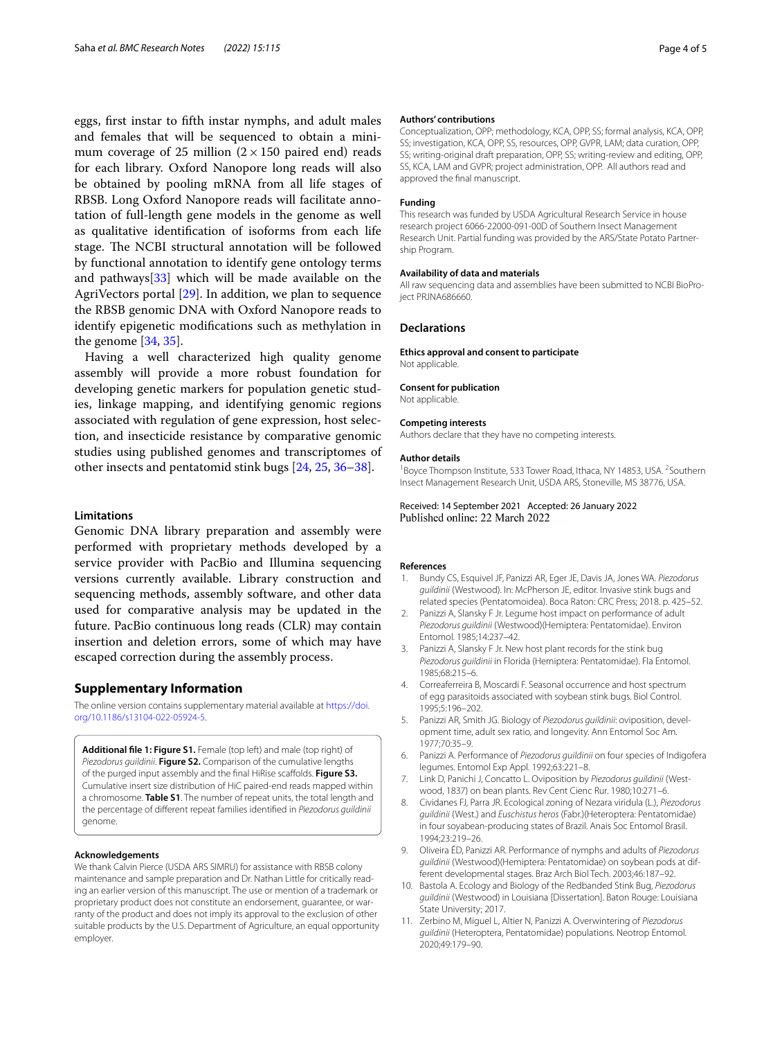eggs, frst instar to ffth instar nymphs, and adult males and females that will be sequenced to obtain a minimum coverage of 25 million  $(2 \times 150$  paired end) reads for each library. Oxford Nanopore long reads will also be obtained by pooling mRNA from all life stages of RBSB. Long Oxford Nanopore reads will facilitate annotation of full-length gene models in the genome as well as qualitative identifcation of isoforms from each life stage. The NCBI structural annotation will be followed by functional annotation to identify gene ontology terms and pathways[\[33](#page-4-21)] which will be made available on the AgriVectors portal [\[29](#page-4-17)]. In addition, we plan to sequence the RBSB genomic DNA with Oxford Nanopore reads to identify epigenetic modifcations such as methylation in the genome [[34,](#page-4-22) [35](#page-4-23)].

Having a well characterized high quality genome assembly will provide a more robust foundation for developing genetic markers for population genetic studies, linkage mapping, and identifying genomic regions associated with regulation of gene expression, host selection, and insecticide resistance by comparative genomic studies using published genomes and transcriptomes of other insects and pentatomid stink bugs [[24](#page-4-12), [25,](#page-4-13) [36](#page-4-24)[–38\]](#page-4-25).

## **Limitations**

Genomic DNA library preparation and assembly were performed with proprietary methods developed by a service provider with PacBio and Illumina sequencing versions currently available. Library construction and sequencing methods, assembly software, and other data used for comparative analysis may be updated in the future. PacBio continuous long reads (CLR) may contain insertion and deletion errors, some of which may have escaped correction during the assembly process.

## **Supplementary Information**

The online version contains supplementary material available at [https://doi.](https://doi.org/10.1186/s13104-022-05924-5) [org/10.1186/s13104-022-05924-5](https://doi.org/10.1186/s13104-022-05924-5).

<span id="page-3-5"></span>**Additional fle 1: Figure S1.** Female (top left) and male (top right) of *Piezodorus guildinii*. **Figure S2.** Comparison of the cumulative lengths of the purged input assembly and the fnal HiRise scafolds. **Figure S3.** Cumulative insert size distribution of HiC paired-end reads mapped within a chromosome. **Table S1**. The number of repeat units, the total length and the percentage of diferent repeat families identifed in *Piezodorus guildinii* genome.

#### **Acknowledgements**

We thank Calvin Pierce (USDA ARS SIMRU) for assistance with RBSB colony maintenance and sample preparation and Dr. Nathan Little for critically reading an earlier version of this manuscript. The use or mention of a trademark or proprietary product does not constitute an endorsement, guarantee, or warranty of the product and does not imply its approval to the exclusion of other suitable products by the U.S. Department of Agriculture, an equal opportunity employer.

#### **Authors' contributions**

Conceptualization, OPP; methodology, KCA, OPP, SS; formal analysis, KCA, OPP, SS; investigation, KCA, OPP, SS, resources, OPP, GVPR, LAM; data curation, OPP, SS; writing-original draft preparation, OPP, SS; writing-review and editing, OPP, SS, KCA, LAM and GVPR; project administration, OPP. All authors read and approved the fnal manuscript.

#### **Funding**

This research was funded by USDA Agricultural Research Service in house research project 6066-22000-091-00D of Southern Insect Management Research Unit. Partial funding was provided by the ARS/State Potato Partnership Program.

#### **Availability of data and materials**

All raw sequencing data and assemblies have been submitted to NCBI BioProject PRJNA686660.

#### **Declarations**

**Ethics approval and consent to participate** Not applicable.

#### **Consent for publication**

Not applicable.

#### **Competing interests**

Authors declare that they have no competing interests.

#### **Author details**

<sup>1</sup> Boyce Thompson Institute, 533 Tower Road, Ithaca, NY 14853, USA. <sup>2</sup> Southern Insect Management Research Unit, USDA ARS, Stoneville, MS 38776, USA.

Received: 14 September 2021 Accepted: 26 January 2022 Published online: 22 March 2022

#### **References**

- <span id="page-3-0"></span>1. Bundy CS, Esquivel JF, Panizzi AR, Eger JE, Davis JA, Jones WA. *Piezodorus guildinii* (Westwood). In: McPherson JE, editor. Invasive stink bugs and related species (Pentatomoidea). Boca Raton: CRC Press; 2018. p. 425–52.
- <span id="page-3-3"></span>2. Panizzi A, Slansky F Jr. Legume host impact on performance of adult *Piezodorus guildinii* (Westwood)(Hemiptera: Pentatomidae). Environ Entomol. 1985;14:237–42.
- <span id="page-3-1"></span>3. Panizzi A, Slansky F Jr. New host plant records for the stink bug *Piezodorus guildinii* in Florida (Hemiptera: Pentatomidae). Fla Entomol. 1985;68:215–6.
- <span id="page-3-2"></span>4. Correaferreira B, Moscardi F. Seasonal occurrence and host spectrum of egg parasitoids associated with soybean stink bugs. Biol Control. 1995;5:196–202.
- <span id="page-3-4"></span>5. Panizzi AR, Smith JG. Biology of *Piezodorus guildinii*: oviposition, development time, adult sex ratio, and longevity. Ann Entomol Soc Am. 1977;70:35–9.
- 6. Panizzi A. Performance of *Piezodorus guildinii* on four species of Indigofera legumes. Entomol Exp Appl. 1992;63:221–8.
- 7. Link D, Panichi J, Concatto L. Oviposition by *Piezodorus guildinii* (Westwood, 1837) on bean plants. Rev Cent Cienc Rur. 1980;10:271–6.
- 8. Cividanes FJ, Parra JR. Ecological zoning of Nezara viridula (L.), *Piezodorus guildinii* (West.) and *Euschistus heros* (Fabr.)(Heteroptera: Pentatomidae) in four soyabean-producing states of Brazil. Anais Soc Entomol Brasil. 1994;23:219–26.
- 9. Oliveira ÉD, Panizzi AR. Performance of nymphs and adults of *Piezodorus guildinii* (Westwood)(Hemiptera: Pentatomidae) on soybean pods at different developmental stages. Braz Arch Biol Tech. 2003;46:187–92.
- 10. Bastola A. Ecology and Biology of the Redbanded Stink Bug, *Piezodorus guildinii* (Westwood) in Louisiana [Dissertation]. Baton Rouge: Louisiana State University; 2017.
- 11. Zerbino M, Miguel L, Altier N, Panizzi A. Overwintering of *Piezodorus guildinii* (Heteroptera, Pentatomidae) populations. Neotrop Entomol. 2020;49:179–90.